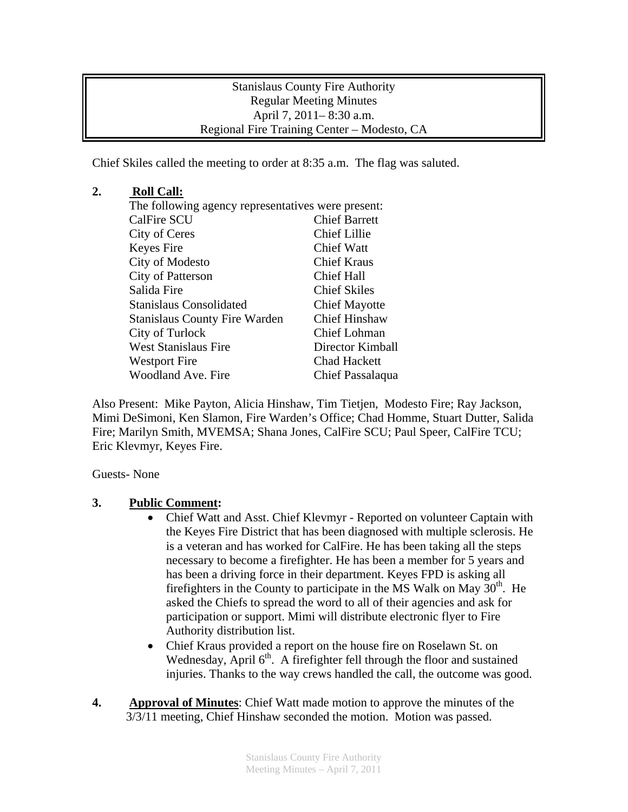Stanislaus County Fire Authority Regular Meeting Minutes April 7, 2011– 8:30 a.m. Regional Fire Training Center – Modesto, CA

Chief Skiles called the meeting to order at 8:35 a.m. The flag was saluted.

## **2. Roll Call:**

| The following agency representatives were present: |  |
|----------------------------------------------------|--|
| <b>Chief Barrett</b>                               |  |
| <b>Chief Lillie</b>                                |  |
| <b>Chief Watt</b>                                  |  |
| <b>Chief Kraus</b>                                 |  |
| Chief Hall                                         |  |
| <b>Chief Skiles</b>                                |  |
| <b>Chief Mayotte</b>                               |  |
| <b>Chief Hinshaw</b>                               |  |
| <b>Chief Lohman</b>                                |  |
| Director Kimball                                   |  |
| <b>Chad Hackett</b>                                |  |
| Chief Passalaqua                                   |  |
|                                                    |  |

Also Present: Mike Payton, Alicia Hinshaw, Tim Tietjen, Modesto Fire; Ray Jackson, Mimi DeSimoni, Ken Slamon, Fire Warden's Office; Chad Homme, Stuart Dutter, Salida Fire; Marilyn Smith, MVEMSA; Shana Jones, CalFire SCU; Paul Speer, CalFire TCU; Eric Klevmyr, Keyes Fire.

Guests- None

## **3. Public Comment:**

- Chief Watt and Asst. Chief Klevmyr Reported on volunteer Captain with the Keyes Fire District that has been diagnosed with multiple sclerosis. He is a veteran and has worked for CalFire. He has been taking all the steps necessary to become a firefighter. He has been a member for 5 years and has been a driving force in their department. Keyes FPD is asking all firefighters in the County to participate in the MS Walk on May  $30<sup>th</sup>$ . He asked the Chiefs to spread the word to all of their agencies and ask for participation or support. Mimi will distribute electronic flyer to Fire Authority distribution list.
- Chief Kraus provided a report on the house fire on Roselawn St. on Wednesday, April  $6<sup>th</sup>$ . A firefighter fell through the floor and sustained injuries. Thanks to the way crews handled the call, the outcome was good.
- **4. Approval of Minutes**: Chief Watt made motion to approve the minutes of the 3/3/11 meeting, Chief Hinshaw seconded the motion. Motion was passed.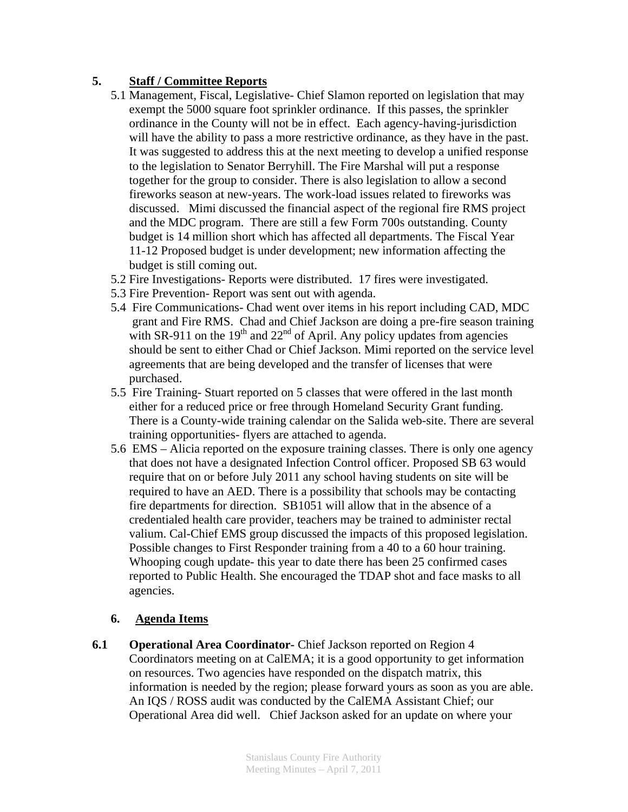## **5. Staff / Committee Reports**

- 5.1 Management, Fiscal, Legislative- Chief Slamon reported on legislation that may exempt the 5000 square foot sprinkler ordinance. If this passes, the sprinkler ordinance in the County will not be in effect. Each agency-having-jurisdiction will have the ability to pass a more restrictive ordinance, as they have in the past. It was suggested to address this at the next meeting to develop a unified response to the legislation to Senator Berryhill. The Fire Marshal will put a response together for the group to consider. There is also legislation to allow a second fireworks season at new-years. The work-load issues related to fireworks was discussed. Mimi discussed the financial aspect of the regional fire RMS project and the MDC program. There are still a few Form 700s outstanding. County budget is 14 million short which has affected all departments. The Fiscal Year 11-12 Proposed budget is under development; new information affecting the budget is still coming out.
- 5.2 Fire Investigations- Reports were distributed. 17 fires were investigated.
- 5.3 Fire Prevention- Report was sent out with agenda.
- 5.4 Fire Communications- Chad went over items in his report including CAD, MDC grant and Fire RMS. Chad and Chief Jackson are doing a pre-fire season training with SR-911 on the 19<sup>th</sup> and 22<sup>nd</sup> of April. Any policy updates from agencies should be sent to either Chad or Chief Jackson. Mimi reported on the service level agreements that are being developed and the transfer of licenses that were purchased.
- 5.5 Fire Training- Stuart reported on 5 classes that were offered in the last month either for a reduced price or free through Homeland Security Grant funding. There is a County-wide training calendar on the Salida web-site. There are several training opportunities- flyers are attached to agenda.
- 5.6 EMS Alicia reported on the exposure training classes. There is only one agency that does not have a designated Infection Control officer. Proposed SB 63 would require that on or before July 2011 any school having students on site will be required to have an AED. There is a possibility that schools may be contacting fire departments for direction. SB1051 will allow that in the absence of a credentialed health care provider, teachers may be trained to administer rectal valium. Cal-Chief EMS group discussed the impacts of this proposed legislation. Possible changes to First Responder training from a 40 to a 60 hour training. Whooping cough update- this year to date there has been 25 confirmed cases reported to Public Health. She encouraged the TDAP shot and face masks to all agencies.

## **6. Agenda Items**

**6.1** Operational Area Coordinator- Chief Jackson reported on Region 4 Coordinators meeting on at CalEMA; it is a good opportunity to get information on resources. Two agencies have responded on the dispatch matrix, this information is needed by the region; please forward yours as soon as you are able. An IQS / ROSS audit was conducted by the CalEMA Assistant Chief; our Operational Area did well. Chief Jackson asked for an update on where your